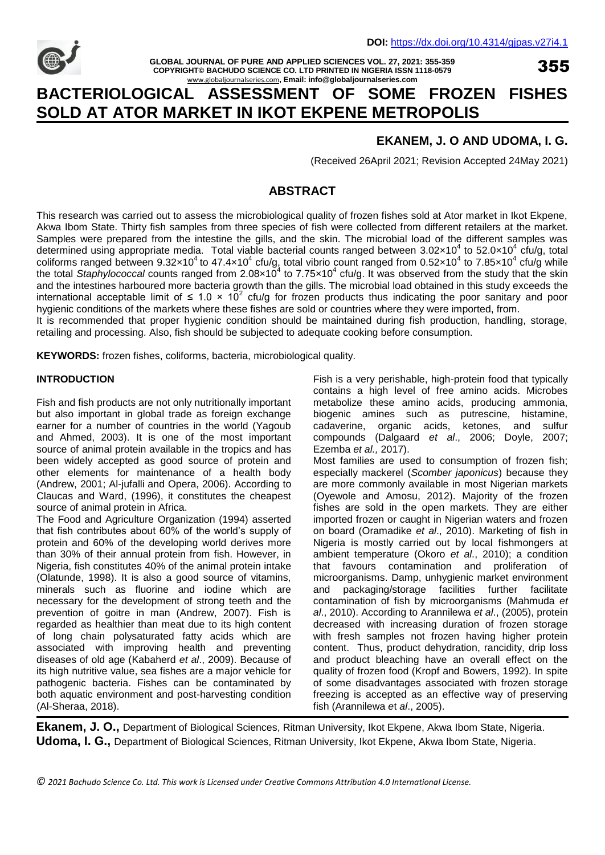

**GLOBAL JOURNAL OF PURE AND APPLIED SCIENCES VOL. 27, 2021: 355-359 COPYRIGHT© BACHUDO SCIENCE CO. LTD PRINTED IN NIGERIA ISSN 1118-0579** [www.globaljournalseries.com](http://www.globaljournalseries.com/)**, Email: info@globaljournalseries.com**

355

# **BACTERIOLOGICAL ASSESSMENT OF SOME FROZEN FISHES SOLD AT ATOR MARKET IN IKOT EKPENE METROPOLIS**

## **EKANEM, J. O AND UDOMA, I. G.**

(Received 26April 2021; Revision Accepted 24May 2021)

## **ABSTRACT**

This research was carried out to assess the microbiological quality of frozen fishes sold at Ator market in Ikot Ekpene, Akwa Ibom State. Thirty fish samples from three species of fish were collected from different retailers at the market. Samples were prepared from the intestine the gills, and the skin. The microbial load of the different samples was determined using appropriate media. Total viable bacterial counts ranged between 3.02×10<sup>4</sup> to 52.0×10<sup>4</sup> cfu/g, total coliforms ranged between  $9.32\times10^4$  to 47.4 $\times10^4$  cfu/g, total vibrio count ranged from 0.52 $\times10^4$  to 7.85 $\times10^4$  cfu/g while the total Staphylococcal counts ranged from 2.08×10<sup>4</sup> to 7.75×10<sup>4</sup> cfu/g. It was observed from the study that the skin and the intestines harboured more bacteria growth than the gills. The microbial load obtained in this study exceeds the international acceptable limit of  $\leq 1.0 \times 10^2$  cfu/g for frozen products thus indicating the poor sanitary and poor hygienic conditions of the markets where these fishes are sold or countries where they were imported, from. It is recommended that proper hygienic condition should be maintained during fish production, handling, storage,

retailing and processing. Also, fish should be subjected to adequate cooking before consumption.

**KEYWORDS:** frozen fishes, coliforms, bacteria, microbiological quality.

#### **INTRODUCTION**

Fish and fish products are not only nutritionally important but also important in global trade as foreign exchange earner for a number of countries in the world (Yagoub and Ahmed, 2003). It is one of the most important source of animal protein available in the tropics and has been widely accepted as good source of protein and other elements for maintenance of a health body (Andrew, 2001; Al-jufalli and Opera, 2006). According to Claucas and Ward, (1996), it constitutes the cheapest source of animal protein in Africa.

The Food and Agriculture Organization (1994) asserted that fish contributes about 60% of the world's supply of protein and 60% of the developing world derives more than 30% of their annual protein from fish. However, in Nigeria, fish constitutes 40% of the animal protein intake (Olatunde, 1998). It is also a good source of vitamins, minerals such as fluorine and iodine which are necessary for the development of strong teeth and the prevention of goitre in man (Andrew, 2007). Fish is regarded as healthier than meat due to its high content of long chain polysaturated fatty acids which are associated with improving health and preventing diseases of old age (Kabaherd *et al*., 2009). Because of its high nutritive value, sea fishes are a major vehicle for pathogenic bacteria. Fishes can be contaminated by both aquatic environment and post-harvesting condition (Al-Sheraa, 2018).

Fish is a very perishable, high-protein food that typically contains a high level of free amino acids. Microbes metabolize these amino acids, producing ammonia, biogenic amines such as putrescine, histamine, cadaverine, organic acids, ketones, and sulfur compounds (Dalgaard *et al*., 2006; Doyle, 2007; Ezemba *et al.,* 2017).

Most families are used to consumption of frozen fish; especially mackerel (*Scomber japonicus*) because they are more commonly available in most Nigerian markets (Oyewole and Amosu, 2012). Majority of the frozen fishes are sold in the open markets. They are either imported frozen or caught in Nigerian waters and frozen on board (Oramadike *et al*., 2010). Marketing of fish in Nigeria is mostly carried out by local fishmongers at ambient temperature (Okoro *et al*., 2010); a condition that favours contamination and proliferation of microorganisms. Damp, unhygienic market environment and packaging/storage facilities further facilitate contamination of fish by microorganisms (Mahmuda *et al*., 2010). According to Arannilewa *et al*., (2005), protein decreased with increasing duration of frozen storage with fresh samples not frozen having higher protein content. Thus, product dehydration, rancidity, drip loss and product bleaching have an overall effect on the quality of frozen food (Kropf and Bowers, 1992). In spite of some disadvantages associated with frozen storage freezing is accepted as an effective way of preserving fish (Arannilewa *e*t *al*., 2005).

**Ekanem, J. O.,** Department of Biological Sciences, Ritman University, Ikot Ekpene, Akwa Ibom State, Nigeria. **Udoma, I. G.,** Department of Biological Sciences, Ritman University, Ikot Ekpene, Akwa Ibom State, Nigeria.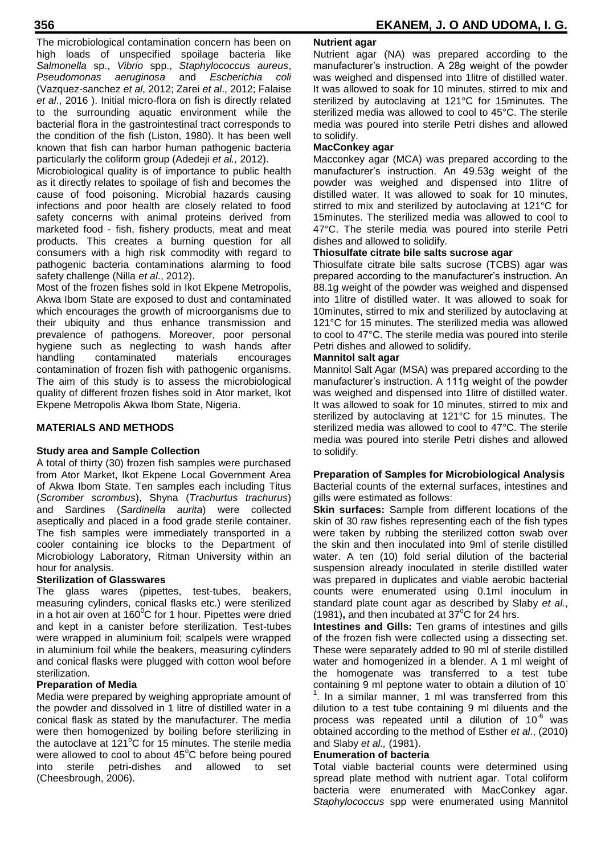The microbiological contamination concern has been on high loads of unspecified spoilage bacteria like *Salmonella* sp., *Vibrio* spp., *Staphylococcus aureus*, *Pseudomonas aeruginosa* and *Escherichia coli*  (Vazquez-sanchez *et al*, 2012; Zarei *et al*., 2012; Falaise *et al*., 2016 ). Initial micro-flora on fish is directly related to the surrounding aquatic environment while the bacterial flora in the gastrointestinal tract corresponds to the condition of the fish (Liston, 1980). It has been well known that fish can harbor human pathogenic bacteria particularly the coliform group (Adedeji *et al.,* 2012).

Microbiological quality is of importance to public health as it directly relates to spoilage of fish and becomes the cause of food poisoning. Microbial hazards causing infections and poor health are closely related to food safety concerns with animal proteins derived from marketed food - fish, fishery products, meat and meat products. This creates a burning question for all consumers with a high risk commodity with regard to pathogenic bacteria contaminations alarming to food safety challenge (Nilla *et al*., 2012).

Most of the frozen fishes sold in Ikot Ekpene Metropolis, Akwa Ibom State are exposed to dust and contaminated which encourages the growth of microorganisms due to their ubiquity and thus enhance transmission and prevalence of pathogens. Moreover, poor personal hygiene such as neglecting to wash hands after handling contaminated materials encourages contamination of frozen fish with pathogenic organisms. The aim of this study is to assess the microbiological quality of different frozen fishes sold in Ator market, Ikot Ekpene Metropolis Akwa Ibom State, Nigeria.

## **MATERIALS AND METHODS**

### **Study area and Sample Collection**

A total of thirty (30) frozen fish samples were purchased from Ator Market, Ikot Ekpene Local Government Area of Akwa Ibom State. Ten samples each including Titus (*Scromber scrombus*), Shyna (*Trachurtus trachurus*) and Sardines (*Sardinella aurita*) were collected aseptically and placed in a food grade sterile container. The fish samples were immediately transported in a cooler containing ice blocks to the Department of Microbiology Laboratory, Ritman University within an hour for analysis.

## **Sterilization of Glasswares**

The glass wares (pipettes, test-tubes, beakers, measuring cylinders, conical flasks etc.) were sterilized in a hot air oven at  $160^{\circ}$ C for 1 hour. Pipettes were dried and kept in a canister before sterilization. Test-tubes were wrapped in aluminium foil; scalpels were wrapped in aluminium foil while the beakers, measuring cylinders and conical flasks were plugged with cotton wool before sterilization.

### **Preparation of Media**

Media were prepared by weighing appropriate amount of the powder and dissolved in 1 litre of distilled water in a conical flask as stated by the manufacturer. The media were then homogenized by boiling before sterilizing in the autoclave at  $121^{\circ}$ C for 15 minutes. The sterile media were allowed to cool to about  $45^{\circ}$ C before being poured into sterile petri-dishes and allowed to set (Cheesbrough, 2006).

### **Nutrient agar**

Nutrient agar (NA) was prepared according to the manufacturer's instruction. A 28g weight of the powder was weighed and dispensed into 1litre of distilled water. It was allowed to soak for 10 minutes, stirred to mix and sterilized by autoclaving at 121°C for 15minutes. The sterilized media was allowed to cool to 45°C. The sterile media was poured into sterile Petri dishes and allowed to solidify.

### **MacConkey agar**

Macconkey agar (MCA) was prepared according to the manufacturer's instruction. An 49.53g weight of the powder was weighed and dispensed into 1litre of distilled water. It was allowed to soak for 10 minutes, stirred to mix and sterilized by autoclaving at 121°C for 15minutes. The sterilized media was allowed to cool to 47°C. The sterile media was poured into sterile Petri dishes and allowed to solidify.

## **Thiosulfate citrate bile salts sucrose agar**

Thiosulfate citrate bile salts sucrose (TCBS) agar was prepared according to the manufacturer's instruction. An 88.1g weight of the powder was weighed and dispensed into 1litre of distilled water. It was allowed to soak for 10minutes, stirred to mix and sterilized by autoclaving at 121°C for 15 minutes. The sterilized media was allowed to cool to 47°C. The sterile media was poured into sterile Petri dishes and allowed to solidify.

#### **Mannitol salt agar**

Mannitol Salt Agar (MSA) was prepared according to the manufacturer's instruction. A 111g weight of the powder was weighed and dispensed into 1litre of distilled water. It was allowed to soak for 10 minutes, stirred to mix and sterilized by autoclaving at 121°C for 15 minutes. The sterilized media was allowed to cool to 47°C. The sterile media was poured into sterile Petri dishes and allowed to solidify.

#### **Preparation of Samples for Microbiological Analysis**

Bacterial counts of the external surfaces, intestines and gills were estimated as follows:

**Skin surfaces:** Sample from different locations of the skin of 30 raw fishes representing each of the fish types were taken by rubbing the sterilized cotton swab over the skin and then inoculated into 9ml of sterile distilled water. A ten (10) fold serial dilution of the bacterial suspension already inoculated in sterile distilled water was prepared in duplicates and viable aerobic bacterial counts were enumerated using 0.1ml inoculum in standard plate count agar as described by Slaby *et al.*,  $(1981)$ , and then incubated at 37 $\mathrm{°C}$  for 24 hrs.

**Intestines and Gills:** Ten grams of intestines and gills of the frozen fish were collected using a dissecting set. These were separately added to 90 ml of sterile distilled water and homogenized in a blender. A 1 ml weight of the homogenate was transferred to a test tube containing 9 ml peptone water to obtain a dilution of 10-  $<sup>1</sup>$ . In a similar manner, 1 ml was transferred from this</sup> dilution to a test tube containing 9 ml diluents and the process was repeated until a dilution of  $10^{-6}$  was obtained according to the method of Esther *et al*., (2010) and Slaby *et al.,* (1981).

#### **Enumeration of bacteria**

Total viable bacterial counts were determined using spread plate method with nutrient agar. Total coliform bacteria were enumerated with MacConkey agar. *Staphylococcus* spp were enumerated using Mannitol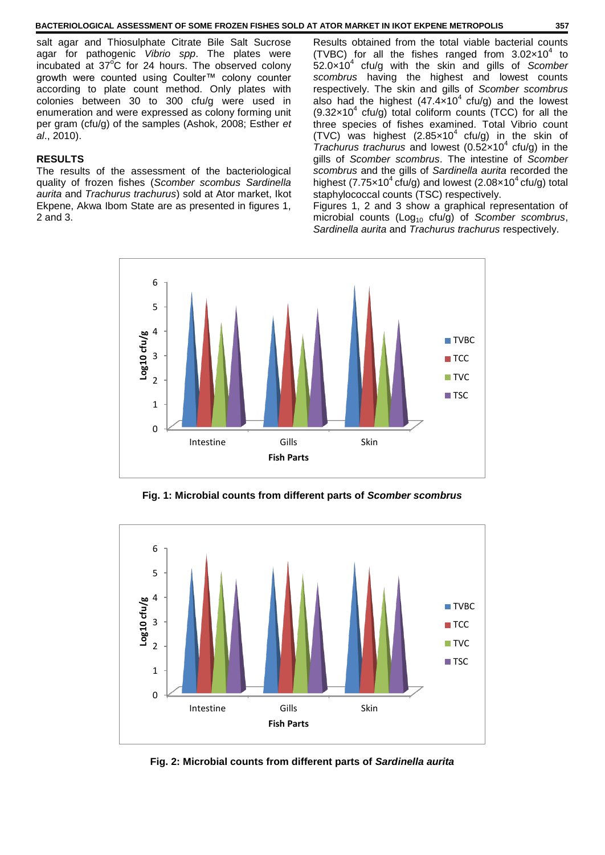salt agar and Thiosulphate Citrate Bile Salt Sucrose agar for pathogenic *Vibrio spp*. The plates were incubated at  $37^{\circ}$ C for 24 hours. The observed colony growth were counted using Coulter™ colony counter according to plate count method. Only plates with colonies between 30 to 300 cfu/g were used in enumeration and were expressed as colony forming unit per gram (cfu/g) of the samples (Ashok, 2008; Esther *et al*., 2010).

#### **RESULTS**

The results of the assessment of the bacteriological quality of frozen fishes (*Scomber scombus Sardinella aurita* and *Trachurus trachurus*) sold at Ator market, Ikot Ekpene, Akwa Ibom State are as presented in figures 1, 2 and 3.

Results obtained from the total viable bacterial counts (TVBC) for all the fishes ranged from  $3.02 \times 10^4$  to 52.0×10<sup>4</sup> cfu/g with the skin and gills of *Scomber scombrus* having the highest and lowest counts respectively. The skin and gills of *Scomber scombrus*  also had the highest  $(47.4 \times 10^4 \text{ ctu/g})$  and the lowest  $(9.32 \times 10^4 \text{ cfu/g})$  total coliform counts (TCC) for all the three species of fishes examined. Total Vibrio count (TVC) was highest  $(2.85 \times 10^4 \text{ ctu/g})$  in the skin of *Trachurus trachurus* and lowest (0.52x10<sup>4</sup> cfu/g) in the gills of *Scomber scombrus*. The intestine of *Scomber scombrus* and the gills of *Sardinella aurita* recorded the highest (7.75 $\times$ 10<sup>4</sup> cfu/g) and lowest (2.08 $\times$ 10<sup>4</sup> cfu/g) total staphylococcal counts (TSC) respectively.

Figures 1, 2 and 3 show a graphical representation of microbial counts (Log<sub>10</sub> cfu/g) of *Scomber scombrus*, *Sardinella aurita* and *Trachurus trachurus* respectively.



**Fig. 1: Microbial counts from different parts of** *Scomber scombrus*



**Fig. 2: Microbial counts from different parts of** *Sardinella aurita*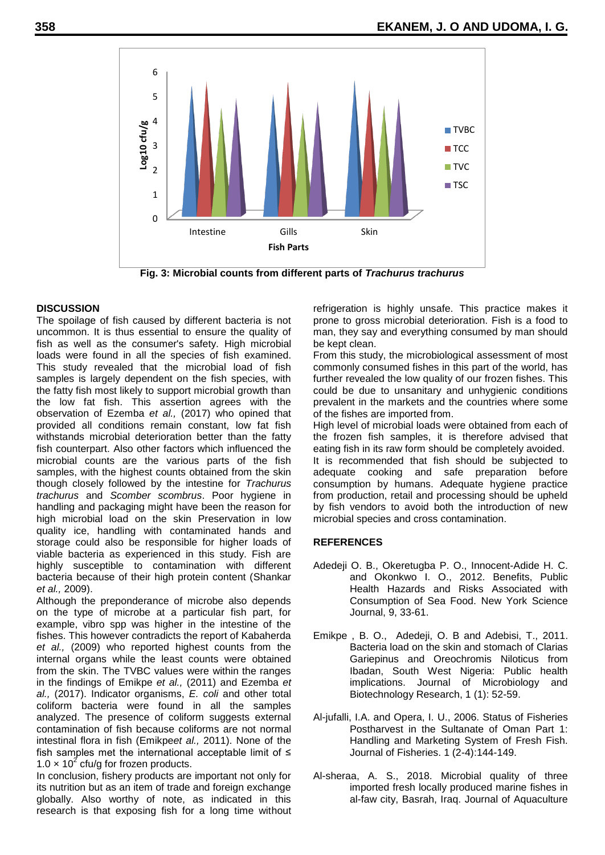

**Fig. 3: Microbial counts from different parts of** *Trachurus trachurus*

#### **DISCUSSION**

The spoilage of fish caused by different bacteria is not uncommon. It is thus essential to ensure the quality of fish as well as the consumer's safety. High microbial loads were found in all the species of fish examined. This study revealed that the microbial load of fish samples is largely dependent on the fish species, with the fatty fish most likely to support microbial growth than the low fat fish. This assertion agrees with the observation of Ezemba *et al.,* (2017) who opined that provided all conditions remain constant, low fat fish withstands microbial deterioration better than the fatty fish counterpart. Also other factors which influenced the microbial counts are the various parts of the fish samples, with the highest counts obtained from the skin though closely followed by the intestine for *Trachurus trachurus* and *Scomber scombrus*. Poor hygiene in handling and packaging might have been the reason for high microbial load on the skin Preservation in low quality ice, handling with contaminated hands and storage could also be responsible for higher loads of viable bacteria as experienced in this study. Fish are highly susceptible to contamination with different bacteria because of their high protein content (Shankar *et al.,* 2009).

Although the preponderance of microbe also depends on the type of microbe at a particular fish part, for example, vibro spp was higher in the intestine of the fishes. This however contradicts the report of Kabaherda *et al.,* (2009) who reported highest counts from the internal organs while the least counts were obtained from the skin. The TVBC values were within the ranges in the findings of Emikpe *et al.,* (2011) and Ezemba *et al.,* (2017). Indicator organisms, *E. coli* and other total coliform bacteria were found in all the samples analyzed. The presence of coliform suggests external contamination of fish because coliforms are not normal intestinal flora in fish (Emikpe*et al.,* 2011). None of the fish samples met the international acceptable limit of ≤ 1.0  $\times$  10<sup>2</sup> cfu/g for frozen products.

In conclusion, fishery products are important not only for its nutrition but as an item of trade and foreign exchange globally. Also worthy of note, as indicated in this research is that exposing fish for a long time without refrigeration is highly unsafe. This practice makes it prone to gross microbial deterioration. Fish is a food to man, they say and everything consumed by man should be kept clean.

From this study, the microbiological assessment of most commonly consumed fishes in this part of the world, has further revealed the low quality of our frozen fishes. This could be due to unsanitary and unhygienic conditions prevalent in the markets and the countries where some of the fishes are imported from.

High level of microbial loads were obtained from each of the frozen fish samples, it is therefore advised that eating fish in its raw form should be completely avoided. It is recommended that fish should be subjected to adequate cooking and safe preparation before consumption by humans. Adequate hygiene practice from production, retail and processing should be upheld by fish vendors to avoid both the introduction of new microbial species and cross contamination.

### **REFERENCES**

- Adedeji O. B., Okeretugba P. O., Innocent-Adide H. C. and Okonkwo I. O., 2012. Benefits, Public Health Hazards and Risks Associated with Consumption of Sea Food. New York Science Journal, 9, 33-61.
- Emikpe , B. O., Adedeji, O. B and Adebisi, T., 2011. Bacteria load on the skin and stomach of Clarias Gariepinus and Oreochromis Niloticus from Ibadan, South West Nigeria: Public health implications. Journal of Microbiology and Biotechnology Research, 1 (1): 52-59.
- Al-jufalli, I.A. and Opera, I. U., 2006. Status of Fisheries Postharvest in the Sultanate of Oman Part 1: Handling and Marketing System of Fresh Fish. Journal of Fisheries. 1 (2-4):144-149.
- Al-sheraa, A. S., 2018. Microbial quality of three imported fresh locally produced marine fishes in al-faw city, Basrah, Iraq. Journal of Aquaculture